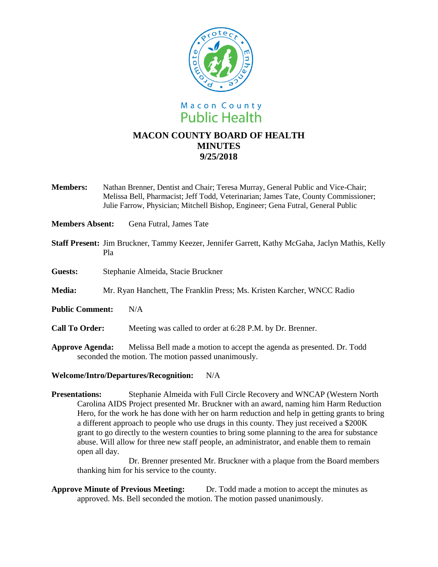

**Members:** Nathan Brenner, Dentist and Chair; Teresa Murray, General Public and Vice-Chair; Melissa Bell, Pharmacist; Jeff Todd, Veterinarian; James Tate, County Commissioner; Julie Farrow, Physician; Mitchell Bishop, Engineer; Gena Futral, General Public

**Members Absent:** Gena Futral, James Tate

- **Staff Present:** Jim Bruckner, Tammy Keezer, Jennifer Garrett, Kathy McGaha, Jaclyn Mathis, Kelly Pla
- **Guests:** Stephanie Almeida, Stacie Bruckner

**Media:** Mr. Ryan Hanchett, The Franklin Press; Ms. Kristen Karcher, WNCC Radio

**Public Comment:** N/A

**Call To Order:** Meeting was called to order at 6:28 P.M. by Dr. Brenner.

**Approve Agenda:** Melissa Bell made a motion to accept the agenda as presented. Dr. Todd seconded the motion. The motion passed unanimously.

## **Welcome/Intro/Departures/Recognition:** N/A

**Presentations:** Stephanie Almeida with Full Circle Recovery and WNCAP (Western North Carolina AIDS Project presented Mr. Bruckner with an award, naming him Harm Reduction Hero, for the work he has done with her on harm reduction and help in getting grants to bring a different approach to people who use drugs in this county. They just received a \$200K grant to go directly to the western counties to bring some planning to the area for substance abuse. Will allow for three new staff people, an administrator, and enable them to remain open all day.

Dr. Brenner presented Mr. Bruckner with a plaque from the Board members thanking him for his service to the county.

**Approve Minute of Previous Meeting:** Dr. Todd made a motion to accept the minutes as approved. Ms. Bell seconded the motion. The motion passed unanimously.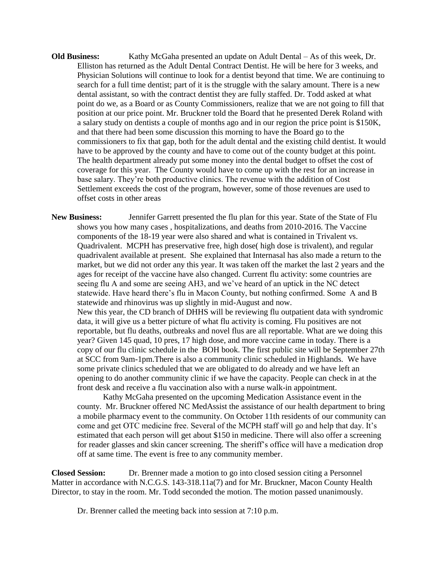**Old Business:** Kathy McGaha presented an update on Adult Dental – As of this week, Dr. Elliston has returned as the Adult Dental Contract Dentist. He will be here for 3 weeks, and Physician Solutions will continue to look for a dentist beyond that time. We are continuing to search for a full time dentist; part of it is the struggle with the salary amount. There is a new dental assistant, so with the contract dentist they are fully staffed. Dr. Todd asked at what point do we, as a Board or as County Commissioners, realize that we are not going to fill that position at our price point. Mr. Bruckner told the Board that he presented Derek Roland with a salary study on dentists a couple of months ago and in our region the price point is \$150K, and that there had been some discussion this morning to have the Board go to the commissioners to fix that gap, both for the adult dental and the existing child dentist. It would have to be approved by the county and have to come out of the county budget at this point. The health department already put some money into the dental budget to offset the cost of coverage for this year. The County would have to come up with the rest for an increase in base salary. They're both productive clinics. The revenue with the addition of Cost Settlement exceeds the cost of the program, however, some of those revenues are used to offset costs in other areas

**New Business:** Jennifer Garrett presented the flu plan for this year. State of the State of Flu shows you how many cases , hospitalizations, and deaths from 2010-2016. The Vaccine components of the 18-19 year were also shared and what is contained in Trivalent vs. Quadrivalent. MCPH has preservative free, high dose( high dose is trivalent), and regular quadrivalent available at present. She explained that Internasal has also made a return to the market, but we did not order any this year. It was taken off the market the last 2 years and the ages for receipt of the vaccine have also changed. Current flu activity: some countries are seeing flu A and some are seeing AH3, and we've heard of an uptick in the NC detect statewide. Have heard there's flu in Macon County, but nothing confirmed. Some A and B statewide and rhinovirus was up slightly in mid-August and now. New this year, the CD branch of DHHS will be reviewing flu outpatient data with syndromic data, it will give us a better picture of what flu activity is coming. Flu positives are not reportable, but flu deaths, outbreaks and novel flus are all reportable. What are we doing this year? Given 145 quad, 10 pres, 17 high dose, and more vaccine came in today. There is a copy of our flu clinic schedule in the BOH book. The first public site will be September 27th at SCC from 9am-1pm.There is also a community clinic scheduled in Highlands. We have some private clinics scheduled that we are obligated to do already and we have left an opening to do another community clinic if we have the capacity. People can check in at the front desk and receive a flu vaccination also with a nurse walk-in appointment.

Kathy McGaha presented on the upcoming Medication Assistance event in the county. Mr. Bruckner offered NC MedAssist the assistance of our health department to bring a mobile pharmacy event to the community. On October 11th residents of our community can come and get OTC medicine free. Several of the MCPH staff will go and help that day. It's estimated that each person will get about \$150 in medicine. There will also offer a screening for reader glasses and skin cancer screening. The sheriff's office will have a medication drop off at same time. The event is free to any community member.

**Closed Session:** Dr. Brenner made a motion to go into closed session citing a Personnel Matter in accordance with N.C.G.S. 143-318.11a(7) and for Mr. Bruckner, Macon County Health Director, to stay in the room. Mr. Todd seconded the motion. The motion passed unanimously.

Dr. Brenner called the meeting back into session at 7:10 p.m.